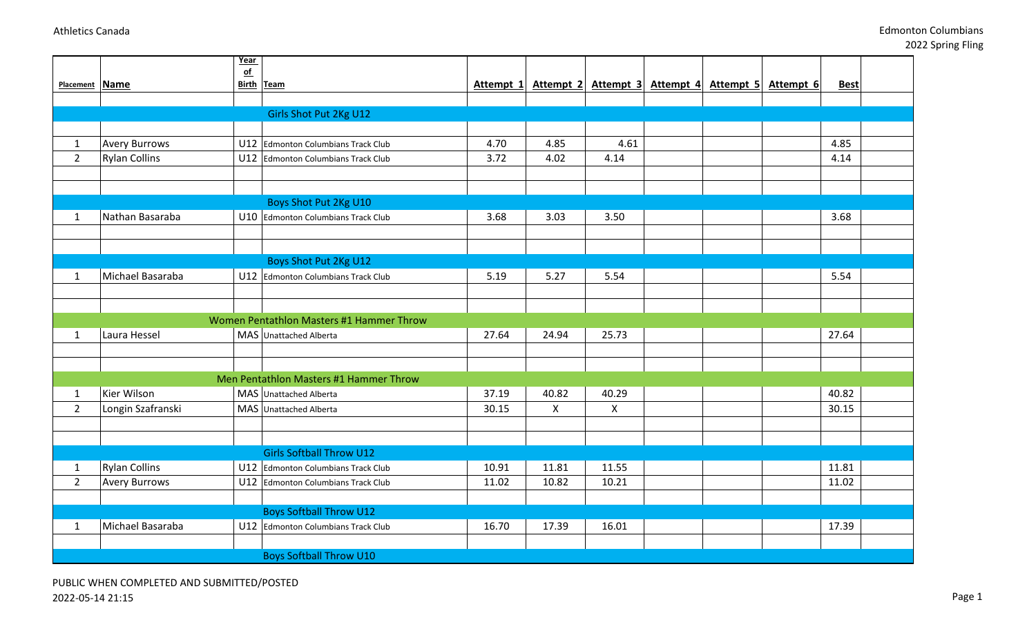2022 Spring Fling

|                |                      | Year<br>$\sigma$ f |                                          |           |                |                     |  |                     |             |  |
|----------------|----------------------|--------------------|------------------------------------------|-----------|----------------|---------------------|--|---------------------|-------------|--|
| Placement Name |                      | <b>Birth Team</b>  |                                          | Attempt 1 | Attempt 2      | Attempt 3 Attempt 4 |  | Attempt 5 Attempt 6 | <b>Best</b> |  |
|                |                      |                    |                                          |           |                |                     |  |                     |             |  |
|                |                      |                    | Girls Shot Put 2Kg U12                   |           |                |                     |  |                     |             |  |
|                |                      |                    |                                          |           |                |                     |  |                     |             |  |
| $\mathbf{1}$   | <b>Avery Burrows</b> |                    | U12 Edmonton Columbians Track Club       | 4.70      | 4.85           | 4.61                |  |                     | 4.85        |  |
| $\overline{2}$ | <b>Rylan Collins</b> |                    | U12 Edmonton Columbians Track Club       | 3.72      | 4.02           | 4.14                |  |                     | 4.14        |  |
|                |                      |                    |                                          |           |                |                     |  |                     |             |  |
|                |                      |                    |                                          |           |                |                     |  |                     |             |  |
|                |                      |                    | Boys Shot Put 2Kg U10                    |           |                |                     |  |                     |             |  |
| 1              | Nathan Basaraba      |                    | U10 Edmonton Columbians Track Club       | 3.68      | 3.03           | 3.50                |  |                     | 3.68        |  |
|                |                      |                    |                                          |           |                |                     |  |                     |             |  |
|                |                      |                    |                                          |           |                |                     |  |                     |             |  |
|                |                      |                    | Boys Shot Put 2Kg U12                    |           |                |                     |  |                     |             |  |
| $\mathbf{1}$   | Michael Basaraba     |                    | U12 Edmonton Columbians Track Club       | 5.19      | 5.27           | 5.54                |  |                     | 5.54        |  |
|                |                      |                    |                                          |           |                |                     |  |                     |             |  |
|                |                      |                    |                                          |           |                |                     |  |                     |             |  |
|                |                      |                    | Women Pentathlon Masters #1 Hammer Throw |           |                |                     |  |                     |             |  |
| $\mathbf{1}$   | Laura Hessel         |                    | MAS Unattached Alberta                   | 27.64     | 24.94          | 25.73               |  |                     | 27.64       |  |
|                |                      |                    |                                          |           |                |                     |  |                     |             |  |
|                |                      |                    | Men Pentathlon Masters #1 Hammer Throw   |           |                |                     |  |                     |             |  |
| $\mathbf{1}$   | Kier Wilson          |                    | MAS Unattached Alberta                   | 37.19     | 40.82          | 40.29               |  |                     | 40.82       |  |
| $\overline{2}$ | Longin Szafranski    |                    | MAS Unattached Alberta                   | 30.15     | $\pmb{\times}$ | $\pmb{\times}$      |  |                     | 30.15       |  |
|                |                      |                    |                                          |           |                |                     |  |                     |             |  |
|                |                      |                    |                                          |           |                |                     |  |                     |             |  |
|                |                      |                    | <b>Girls Softball Throw U12</b>          |           |                |                     |  |                     |             |  |
| $\mathbf{1}$   | <b>Rylan Collins</b> |                    | U12 Edmonton Columbians Track Club       | 10.91     | 11.81          | 11.55               |  |                     | 11.81       |  |
| $\overline{2}$ | <b>Avery Burrows</b> |                    | U12 Edmonton Columbians Track Club       | 11.02     | 10.82          | 10.21               |  |                     | 11.02       |  |
|                |                      |                    |                                          |           |                |                     |  |                     |             |  |
|                |                      |                    | <b>Boys Softball Throw U12</b>           |           |                |                     |  |                     |             |  |
| $\mathbf{1}$   | Michael Basaraba     |                    | U12 Edmonton Columbians Track Club       | 16.70     | 17.39          | 16.01               |  |                     | 17.39       |  |
|                |                      |                    |                                          |           |                |                     |  |                     |             |  |
|                |                      |                    | <b>Boys Softball Throw U10</b>           |           |                |                     |  |                     |             |  |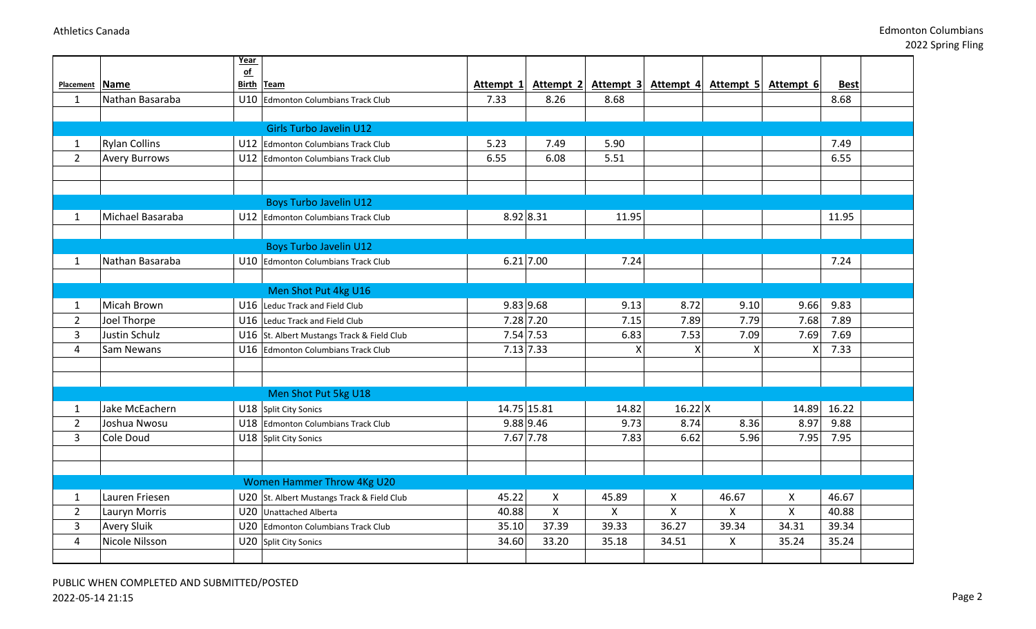|                |                      | Year |                                            |             |              |                           |                |                                         |                |             |
|----------------|----------------------|------|--------------------------------------------|-------------|--------------|---------------------------|----------------|-----------------------------------------|----------------|-------------|
| Placement Name |                      | of   | Birth Team                                 | Attempt 1   | Attempt 2    |                           |                | Attempt 3 Attempt 4 Attempt 5 Attempt 6 |                | <b>Best</b> |
| $\mathbf{1}$   | Nathan Basaraba      |      | U10 Edmonton Columbians Track Club         | 7.33        | 8.26         | 8.68                      |                |                                         |                | 8.68        |
|                |                      |      |                                            |             |              |                           |                |                                         |                |             |
|                |                      |      | <b>Girls Turbo Javelin U12</b>             |             |              |                           |                |                                         |                |             |
|                |                      |      |                                            |             |              |                           |                |                                         |                | 7.49        |
| $\mathbf{1}$   | <b>Rylan Collins</b> | U12  | Edmonton Columbians Track Club             | 5.23        | 7.49         | 5.90                      |                |                                         |                |             |
| $\overline{2}$ | <b>Avery Burrows</b> |      | U12 Edmonton Columbians Track Club         | 6.55        | 6.08         | 5.51                      |                |                                         |                | 6.55        |
|                |                      |      |                                            |             |              |                           |                |                                         |                |             |
|                |                      |      |                                            |             |              |                           |                |                                         |                |             |
|                |                      |      | <b>Boys Turbo Javelin U12</b>              |             |              |                           |                |                                         |                |             |
| $\mathbf{1}$   | Michael Basaraba     |      | U12 Edmonton Columbians Track Club         | 8.92 8.31   |              | 11.95                     |                |                                         |                | 11.95       |
|                |                      |      |                                            |             |              |                           |                |                                         |                |             |
|                |                      |      | <b>Boys Turbo Javelin U12</b>              |             |              |                           |                |                                         |                |             |
| $\mathbf{1}$   | Nathan Basaraba      |      | U10 Edmonton Columbians Track Club         | $6.21$ 7.00 |              | 7.24                      |                |                                         |                | 7.24        |
|                |                      |      |                                            |             |              |                           |                |                                         |                |             |
|                |                      |      | Men Shot Put 4kg U16                       |             |              |                           |                |                                         |                |             |
| $\mathbf{1}$   | Micah Brown          |      | U16 Leduc Track and Field Club             | 9.83 9.68   |              | 9.13                      | 8.72           | 9.10                                    | 9.66           | 9.83        |
| $\overline{2}$ | Joel Thorpe          |      | U16 Leduc Track and Field Club             | 7.28 7.20   |              | 7.15                      | 7.89           | 7.79                                    | 7.68           | 7.89        |
| 3              | Justin Schulz        |      | U16 St. Albert Mustangs Track & Field Club | 7.54 7.53   |              | 6.83                      | 7.53           | 7.09                                    | 7.69           | 7.69        |
| 4              | Sam Newans           |      | U16 Edmonton Columbians Track Club         | 7.13 7.33   |              | $\boldsymbol{\mathsf{x}}$ | X              | $\pmb{\mathsf{X}}$                      | X              | 7.33        |
|                |                      |      |                                            |             |              |                           |                |                                         |                |             |
|                |                      |      |                                            |             |              |                           |                |                                         |                |             |
|                |                      |      | Men Shot Put 5kg U18                       |             |              |                           |                |                                         |                |             |
| $\mathbf{1}$   | Jake McEachern       |      | U18 Split City Sonics                      | 14.75 15.81 |              | 14.82                     | $16.22$ X      |                                         | 14.89          | 16.22       |
| $\overline{2}$ | Joshua Nwosu         |      | U18 Edmonton Columbians Track Club         | $9.88$ 9.46 |              | 9.73                      | 8.74           | 8.36                                    | 8.97           | 9.88        |
| 3              | Cole Doud            |      | U18 Split City Sonics                      | 7.67 7.78   |              | 7.83                      | 6.62           | 5.96                                    | 7.95           | 7.95        |
|                |                      |      |                                            |             |              |                           |                |                                         |                |             |
|                |                      |      |                                            |             |              |                           |                |                                         |                |             |
|                |                      |      | <b>Women Hammer Throw 4Kg U20</b>          |             |              |                           |                |                                         |                |             |
| $\mathbf{1}$   | Lauren Friesen       |      | U20 St. Albert Mustangs Track & Field Club | 45.22       | $\mathsf{X}$ | 45.89                     | X              | 46.67                                   | X              | 46.67       |
| $\overline{2}$ | Lauryn Morris        |      | U20 Unattached Alberta                     | 40.88       | $\mathsf{X}$ | $\mathsf{X}$              | $\pmb{\times}$ | $\mathsf{X}$                            | $\pmb{\times}$ | 40.88       |
| 3              | <b>Avery Sluik</b>   |      | U20 Edmonton Columbians Track Club         | 35.10       | 37.39        | 39.33                     | 36.27          | 39.34                                   | 34.31          | 39.34       |
| $\overline{4}$ | Nicole Nilsson       |      | U20 Split City Sonics                      | 34.60       | 33.20        | 35.18                     | 34.51          | $\pmb{\mathsf{X}}$                      | 35.24          | 35.24       |
|                |                      |      |                                            |             |              |                           |                |                                         |                |             |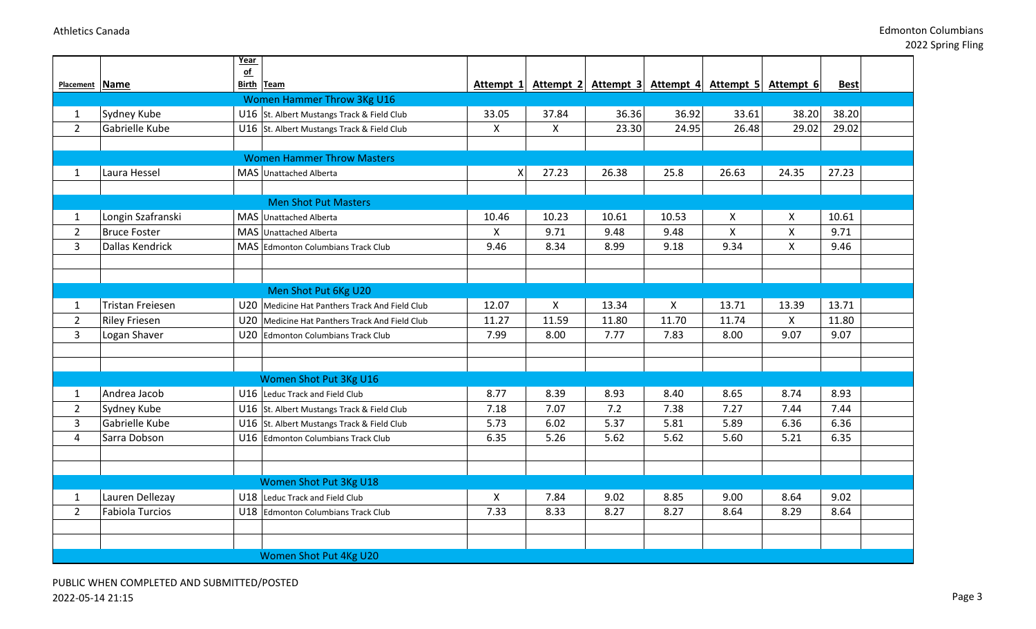|                |                        | Year<br>$of$ |                                                |                           |                    |                                                             |              |                |       |             |  |
|----------------|------------------------|--------------|------------------------------------------------|---------------------------|--------------------|-------------------------------------------------------------|--------------|----------------|-------|-------------|--|
| Placement Name |                        | Birth Team   |                                                |                           |                    | Attempt 1 Attempt 2 Attempt 3 Attempt 4 Attempt 5 Attempt 6 |              |                |       | <b>Best</b> |  |
|                |                        |              | <b>Women Hammer Throw 3Kg U16</b>              |                           |                    |                                                             |              |                |       |             |  |
| $\mathbf{1}$   | Sydney Kube            |              | U16 St. Albert Mustangs Track & Field Club     | 33.05                     | 37.84              | 36.36                                                       | 36.92        | 33.61          | 38.20 | 38.20       |  |
| $\overline{2}$ | Gabrielle Kube         |              | U16 St. Albert Mustangs Track & Field Club     | $\boldsymbol{\mathsf{X}}$ | $\pmb{\mathsf{X}}$ | 23.30                                                       | 24.95        | 26.48          | 29.02 | 29.02       |  |
|                |                        |              |                                                |                           |                    |                                                             |              |                |       |             |  |
|                |                        |              | <b>Women Hammer Throw Masters</b>              |                           |                    |                                                             |              |                |       |             |  |
| $\mathbf{1}$   | Laura Hessel           |              | MAS Unattached Alberta                         | X                         | 27.23              | 26.38                                                       | 25.8         | 26.63          | 24.35 | 27.23       |  |
|                |                        |              |                                                |                           |                    |                                                             |              |                |       |             |  |
|                |                        |              | <b>Men Shot Put Masters</b>                    |                           |                    |                                                             |              |                |       |             |  |
| $\mathbf{1}$   | Longin Szafranski      |              | MAS Unattached Alberta                         | 10.46                     | 10.23              | 10.61                                                       | 10.53        | $\pmb{\times}$ | X     | 10.61       |  |
| $\overline{2}$ | <b>Bruce Foster</b>    |              | MAS Unattached Alberta                         | $\pmb{\times}$            | 9.71               | 9.48                                                        | 9.48         | $\mathsf{X}$   | X     | 9.71        |  |
| 3              | Dallas Kendrick        |              | MAS Edmonton Columbians Track Club             | 9.46                      | 8.34               | 8.99                                                        | 9.18         | 9.34           | X     | 9.46        |  |
|                |                        |              |                                                |                           |                    |                                                             |              |                |       |             |  |
|                |                        |              |                                                |                           |                    |                                                             |              |                |       |             |  |
|                |                        |              | Men Shot Put 6Kg U20                           |                           |                    |                                                             |              |                |       |             |  |
| 1              | Tristan Freiesen       |              | U20 Medicine Hat Panthers Track And Field Club | 12.07                     | $\mathsf{X}$       | 13.34                                                       | $\mathsf{X}$ | 13.71          | 13.39 | 13.71       |  |
| $\overline{2}$ | <b>Riley Friesen</b>   |              | U20 Medicine Hat Panthers Track And Field Club | 11.27                     | 11.59              | 11.80                                                       | 11.70        | 11.74          | X     | 11.80       |  |
| 3              | Logan Shaver           |              | U20 Edmonton Columbians Track Club             | 7.99                      | 8.00               | 7.77                                                        | 7.83         | 8.00           | 9.07  | 9.07        |  |
|                |                        |              |                                                |                           |                    |                                                             |              |                |       |             |  |
|                |                        |              |                                                |                           |                    |                                                             |              |                |       |             |  |
|                |                        |              | Women Shot Put 3Kg U16                         |                           |                    |                                                             |              |                |       |             |  |
| 1              | Andrea Jacob           |              | U16 Leduc Track and Field Club                 | 8.77                      | 8.39               | 8.93                                                        | 8.40         | 8.65           | 8.74  | 8.93        |  |
| $\overline{2}$ | Sydney Kube            |              | U16 St. Albert Mustangs Track & Field Club     | 7.18                      | 7.07               | 7.2                                                         | 7.38         | 7.27           | 7.44  | 7.44        |  |
| 3              | Gabrielle Kube         |              | U16 St. Albert Mustangs Track & Field Club     | 5.73                      | 6.02               | 5.37                                                        | 5.81         | 5.89           | 6.36  | 6.36        |  |
| $\overline{4}$ | Sarra Dobson           |              | U16 Edmonton Columbians Track Club             | 6.35                      | 5.26               | 5.62                                                        | 5.62         | 5.60           | 5.21  | 6.35        |  |
|                |                        |              |                                                |                           |                    |                                                             |              |                |       |             |  |
|                |                        |              |                                                |                           |                    |                                                             |              |                |       |             |  |
|                |                        |              | Women Shot Put 3Kg U18                         |                           |                    |                                                             |              |                |       |             |  |
| $\mathbf{1}$   | Lauren Dellezay        |              | U18 Leduc Track and Field Club                 | X                         | 7.84               | 9.02                                                        | 8.85         | 9.00           | 8.64  | 9.02        |  |
| $\overline{2}$ | <b>Fabiola Turcios</b> |              | U18 Edmonton Columbians Track Club             | 7.33                      | 8.33               | 8.27                                                        | 8.27         | 8.64           | 8.29  | 8.64        |  |
|                |                        |              |                                                |                           |                    |                                                             |              |                |       |             |  |
|                |                        |              |                                                |                           |                    |                                                             |              |                |       |             |  |
|                |                        |              | Women Shot Put 4Kg U20                         |                           |                    |                                                             |              |                |       |             |  |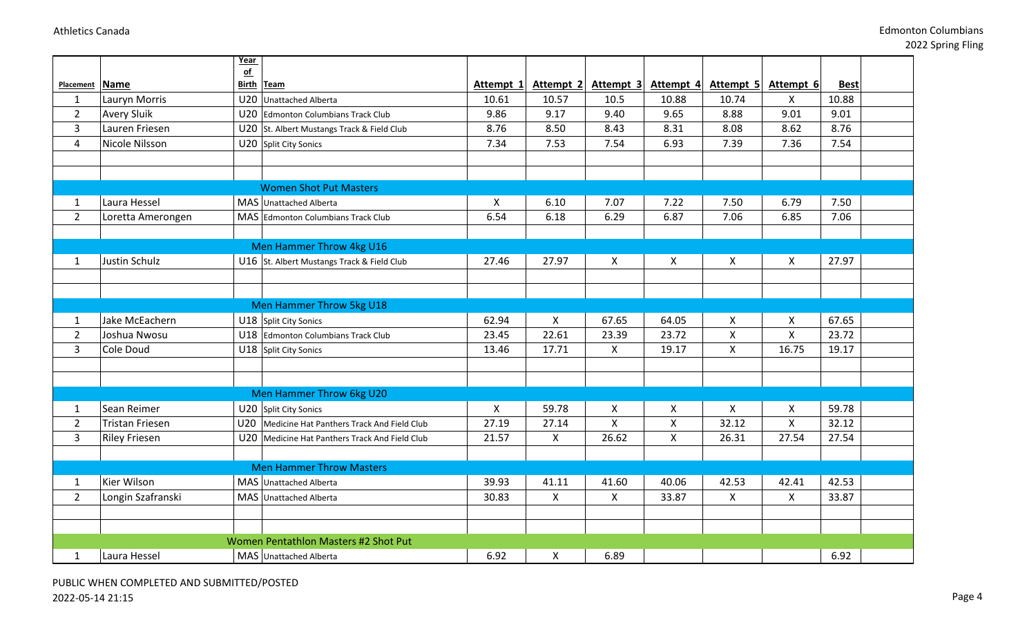|                |                      | Year                      |                                            |                           |                           |           |                    |                           |                    |             |
|----------------|----------------------|---------------------------|--------------------------------------------|---------------------------|---------------------------|-----------|--------------------|---------------------------|--------------------|-------------|
| Placement Name |                      | $\underline{\mathsf{of}}$ | <b>Birth Team</b>                          | Attempt 1                 | Attempt 2                 | Attempt 3 | Attempt 4          | Attempt 5                 | Attempt 6          | <b>Best</b> |
| $\mathbf{1}$   | Lauryn Morris        | U20                       | <b>Unattached Alberta</b>                  | 10.61                     | 10.57                     | 10.5      | 10.88              | 10.74                     | X                  | 10.88       |
| $\overline{2}$ | <b>Avery Sluik</b>   | U20                       | Edmonton Columbians Track Club             | 9.86                      | 9.17                      | 9.40      | 9.65               | 8.88                      | 9.01               | 9.01        |
| 3              | Lauren Friesen       | U20                       |                                            | 8.76                      | 8.50                      | 8.43      | 8.31               | 8.08                      | 8.62               | 8.76        |
|                | Nicole Nilsson       |                           | St. Albert Mustangs Track & Field Club     | 7.34                      | 7.53                      | 7.54      | 6.93               | 7.39                      | 7.36               | 7.54        |
| $\overline{4}$ |                      | U20                       | Split City Sonics                          |                           |                           |           |                    |                           |                    |             |
|                |                      |                           |                                            |                           |                           |           |                    |                           |                    |             |
|                |                      |                           | <b>Women Shot Put Masters</b>              |                           |                           |           |                    |                           |                    |             |
| 1              | Laura Hessel         |                           | MAS Unattached Alberta                     | $\boldsymbol{\mathsf{X}}$ | 6.10                      | 7.07      | 7.22               | 7.50                      | 6.79               | 7.50        |
| $\overline{2}$ | Loretta Amerongen    |                           | MAS Edmonton Columbians Track Club         | 6.54                      | 6.18                      | 6.29      | 6.87               | 7.06                      | 6.85               | 7.06        |
|                |                      |                           |                                            |                           |                           |           |                    |                           |                    |             |
|                |                      |                           | Men Hammer Throw 4kg U16                   |                           |                           |           |                    |                           |                    |             |
| $\mathbf{1}$   | Justin Schulz        |                           | U16 St. Albert Mustangs Track & Field Club | 27.46                     | 27.97                     | X         | X                  | $\boldsymbol{\mathsf{X}}$ | X                  | 27.97       |
|                |                      |                           |                                            |                           |                           |           |                    |                           |                    |             |
|                |                      |                           |                                            |                           |                           |           |                    |                           |                    |             |
|                |                      |                           | Men Hammer Throw 5kg U18                   |                           |                           |           |                    |                           |                    |             |
| 1              | Jake McEachern       |                           | U18 Split City Sonics                      | 62.94                     | $\boldsymbol{\mathsf{X}}$ | 67.65     | 64.05              | $\boldsymbol{\mathsf{X}}$ | X                  | 67.65       |
| $\overline{2}$ | Joshua Nwosu         | U18                       | Edmonton Columbians Track Club             | 23.45                     | 22.61                     | 23.39     | 23.72              | $\pmb{\times}$            | $\pmb{\mathsf{X}}$ | 23.72       |
| 3              | Cole Doud            |                           | U18 Split City Sonics                      | 13.46                     | 17.71                     | Χ         | 19.17              | $\pmb{\times}$            | 16.75              | 19.17       |
|                |                      |                           |                                            |                           |                           |           |                    |                           |                    |             |
|                |                      |                           |                                            |                           |                           |           |                    |                           |                    |             |
|                |                      |                           | Men Hammer Throw 6kg U20                   |                           |                           |           |                    |                           |                    |             |
| 1              | Sean Reimer          |                           | U20 Split City Sonics                      | $\boldsymbol{\mathsf{X}}$ | 59.78                     | Χ         | $\pmb{\times}$     | $\boldsymbol{\mathsf{X}}$ | $\mathsf{X}$       | 59.78       |
| $\overline{2}$ | Tristan Friesen      | U20                       | Medicine Hat Panthers Track And Field Club | 27.19                     | 27.14                     | X         | $\pmb{\mathsf{X}}$ | 32.12                     | $\mathsf{X}$       | 32.12       |
| 3              | <b>Riley Friesen</b> | U20                       | Medicine Hat Panthers Track And Field Club | 21.57                     | $\mathsf{X}$              | 26.62     | X                  | 26.31                     | 27.54              | 27.54       |
|                |                      |                           |                                            |                           |                           |           |                    |                           |                    |             |
|                |                      |                           | <b>Men Hammer Throw Masters</b>            |                           |                           |           |                    |                           |                    |             |
| 1              | Kier Wilson          |                           | MAS Unattached Alberta                     | 39.93                     | 41.11                     | 41.60     | 40.06              | 42.53                     | 42.41              | 42.53       |
| $\overline{2}$ | Longin Szafranski    |                           | MAS Unattached Alberta                     | 30.83                     | $\pmb{\times}$            | X         | 33.87              | $\mathsf{X}$              | $\mathsf{X}$       | 33.87       |
|                |                      |                           |                                            |                           |                           |           |                    |                           |                    |             |
|                |                      |                           |                                            |                           |                           |           |                    |                           |                    |             |
|                |                      |                           | Women Pentathlon Masters #2 Shot Put       |                           |                           |           |                    |                           |                    |             |
| 1              | Laura Hessel         |                           | MAS Unattached Alberta                     | 6.92                      | X                         | 6.89      |                    |                           |                    | 6.92        |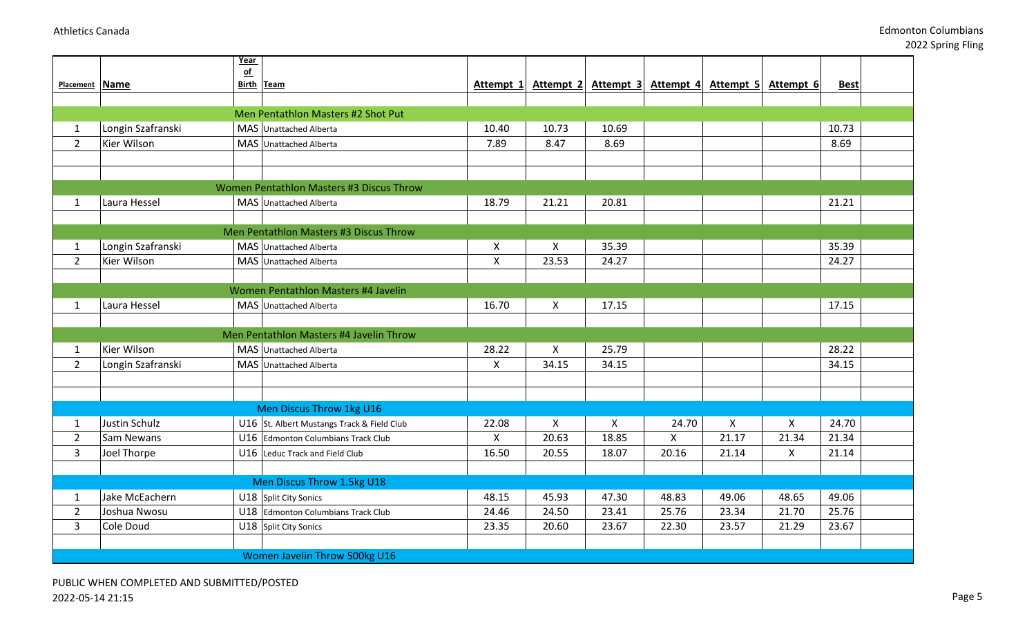|                |                      | Year<br>of                                 |                    |                           |           |           |           |           |             |
|----------------|----------------------|--------------------------------------------|--------------------|---------------------------|-----------|-----------|-----------|-----------|-------------|
| Placement Name |                      | Birth Team                                 | Attempt 1          | Attempt 2                 | Attempt 3 | Attempt 4 | Attempt 5 | Attempt 6 | <b>Best</b> |
|                |                      |                                            |                    |                           |           |           |           |           |             |
|                |                      | Men Pentathlon Masters #2 Shot Put         |                    |                           |           |           |           |           |             |
| $\mathbf{1}$   | Longin Szafranski    | MAS Unattached Alberta                     | 10.40              | 10.73                     | 10.69     |           |           |           | 10.73       |
| $\overline{2}$ | Kier Wilson          | MAS Unattached Alberta                     | 7.89               | 8.47                      | 8.69      |           |           |           | 8.69        |
|                |                      |                                            |                    |                           |           |           |           |           |             |
|                |                      |                                            |                    |                           |           |           |           |           |             |
|                |                      | Women Pentathlon Masters #3 Discus Throw   |                    |                           |           |           |           |           |             |
| $\mathbf{1}$   | Laura Hessel         | MAS Unattached Alberta                     | 18.79              | 21.21                     | 20.81     |           |           |           | 21.21       |
|                |                      |                                            |                    |                           |           |           |           |           |             |
|                |                      | Men Pentathlon Masters #3 Discus Throw     |                    |                           |           |           |           |           |             |
| $\mathbf{1}$   | Longin Szafranski    | MAS Unattached Alberta                     | X                  | X                         | 35.39     |           |           |           | 35.39       |
| $\overline{2}$ | Kier Wilson          | MAS Unattached Alberta                     | $\pmb{\mathsf{X}}$ | 23.53                     | 24.27     |           |           |           | 24.27       |
|                |                      |                                            |                    |                           |           |           |           |           |             |
|                |                      | Women Pentathlon Masters #4 Javelin        |                    |                           |           |           |           |           |             |
| $\mathbf{1}$   | Laura Hessel         | MAS Unattached Alberta                     | 16.70              | $\mathsf{X}$              | 17.15     |           |           |           | 17.15       |
|                |                      | Men Pentathlon Masters #4 Javelin Throw    |                    |                           |           |           |           |           |             |
| $\mathbf{1}$   | Kier Wilson          | MAS Unattached Alberta                     | 28.22              | $\mathsf{X}$              | 25.79     |           |           |           | 28.22       |
| $\overline{2}$ | Longin Szafranski    | MAS Unattached Alberta                     | $\mathsf{X}$       | 34.15                     | 34.15     |           |           |           | 34.15       |
|                |                      |                                            |                    |                           |           |           |           |           |             |
|                |                      |                                            |                    |                           |           |           |           |           |             |
|                |                      | Men Discus Throw 1kg U16                   |                    |                           |           |           |           |           |             |
| $\mathbf{1}$   | <b>Justin Schulz</b> | U16 St. Albert Mustangs Track & Field Club | 22.08              | $\boldsymbol{\mathsf{X}}$ | X         | 24.70     | X         | X         | 24.70       |
| $\overline{2}$ | Sam Newans           | U16 Edmonton Columbians Track Club         | $\mathsf{X}$       | 20.63                     | 18.85     | X         | 21.17     | 21.34     | 21.34       |
| $\overline{3}$ | Joel Thorpe          | U16 Leduc Track and Field Club             | 16.50              | 20.55                     | 18.07     | 20.16     | 21.14     | X.        | 21.14       |
|                |                      |                                            |                    |                           |           |           |           |           |             |
|                |                      | Men Discus Throw 1.5kg U18                 |                    |                           |           |           |           |           |             |
| $\mathbf{1}$   | Jake McEachern       | U18 Split City Sonics                      | 48.15              | 45.93                     | 47.30     | 48.83     | 49.06     | 48.65     | 49.06       |
| $2^{\circ}$    | Joshua Nwosu         | U18 Edmonton Columbians Track Club         | 24.46              | 24.50                     | 23.41     | 25.76     | 23.34     | 21.70     | 25.76       |
| $\overline{3}$ | Cole Doud            | U18 Split City Sonics                      | 23.35              | 20.60                     | 23.67     | 22.30     | 23.57     | 21.29     | 23.67       |
|                |                      |                                            |                    |                           |           |           |           |           |             |
|                |                      | Women Javelin Throw 500kg U16              |                    |                           |           |           |           |           |             |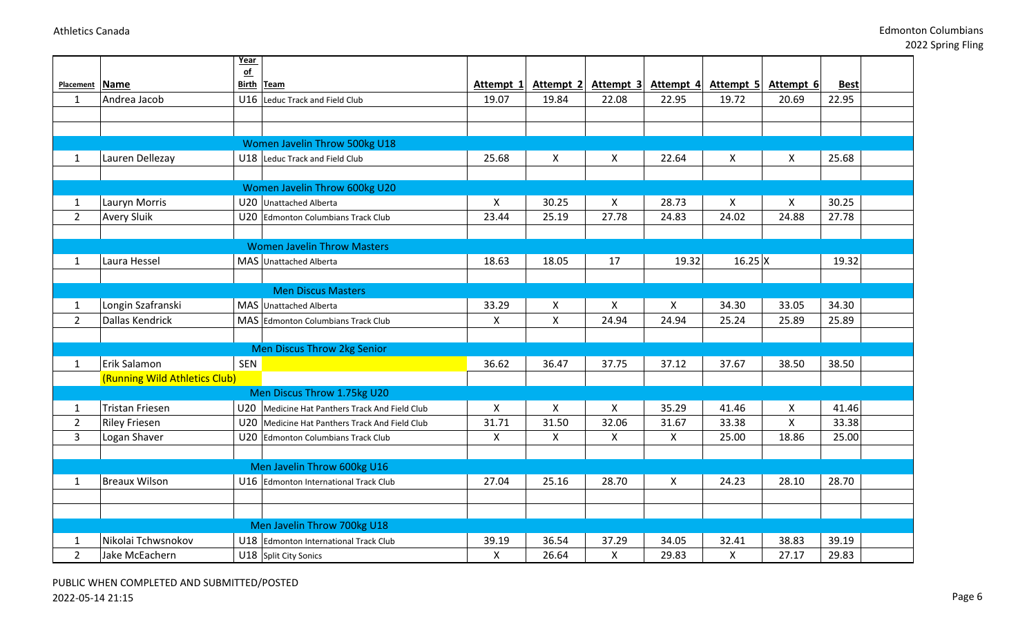2022 Spring Fling

|                                |                                                | Year       |                                                                                                  |            |                      |                                    |                |                     |                   |                |
|--------------------------------|------------------------------------------------|------------|--------------------------------------------------------------------------------------------------|------------|----------------------|------------------------------------|----------------|---------------------|-------------------|----------------|
| Placement Name                 |                                                | of         | Birth Team                                                                                       | Attempt 1  | Attempt 2            | Attempt 3                          |                | Attempt 4 Attempt 5 | Attempt 6         | <b>Best</b>    |
| 1                              | Andrea Jacob                                   |            | U16 Leduc Track and Field Club                                                                   | 19.07      | 19.84                | 22.08                              | 22.95          | 19.72               | 20.69             | 22.95          |
|                                |                                                |            |                                                                                                  |            |                      |                                    |                |                     |                   |                |
|                                |                                                |            |                                                                                                  |            |                      |                                    |                |                     |                   |                |
|                                |                                                |            | Women Javelin Throw 500kg U18                                                                    |            |                      |                                    |                |                     |                   |                |
| $\mathbf{1}$                   | Lauren Dellezay                                |            | U18 Leduc Track and Field Club                                                                   | 25.68      | X                    | X                                  | 22.64          | $\mathsf{X}$        | $\mathsf{X}$      | 25.68          |
|                                |                                                |            |                                                                                                  |            |                      |                                    |                |                     |                   |                |
|                                |                                                |            | Women Javelin Throw 600kg U20                                                                    |            |                      |                                    |                |                     |                   |                |
| $\mathbf{1}$                   | Lauryn Morris                                  |            | U20 Unattached Alberta                                                                           | X          | 30.25                | X                                  | 28.73          | X                   | X                 | 30.25          |
| $\overline{2}$                 | <b>Avery Sluik</b>                             |            | U20 Edmonton Columbians Track Club                                                               | 23.44      | 25.19                | 27.78                              | 24.83          | 24.02               | 24.88             | 27.78          |
|                                |                                                |            |                                                                                                  |            |                      |                                    |                |                     |                   |                |
|                                |                                                |            | <b>Women Javelin Throw Masters</b>                                                               |            |                      |                                    |                |                     |                   |                |
| 1                              | Laura Hessel                                   |            | MAS Unattached Alberta                                                                           | 18.63      | 18.05                | 17                                 | 19.32          | $16.25$ X           |                   | 19.32          |
|                                |                                                |            |                                                                                                  |            |                      |                                    |                |                     |                   |                |
|                                |                                                |            | <b>Men Discus Masters</b>                                                                        |            |                      |                                    |                |                     |                   |                |
| $\mathbf{1}$                   | Longin Szafranski                              |            | MAS Unattached Alberta                                                                           | 33.29      | X                    | $\boldsymbol{\mathsf{X}}$          | X              | 34.30               | 33.05             | 34.30          |
| $\overline{2}$                 | <b>Dallas Kendrick</b>                         |            | MAS Edmonton Columbians Track Club                                                               | X          | $\mathsf{X}$         | 24.94                              | 24.94          | 25.24               | 25.89             | 25.89          |
|                                |                                                |            |                                                                                                  |            |                      |                                    |                |                     |                   |                |
|                                |                                                |            | Men Discus Throw 2kg Senior                                                                      |            |                      |                                    |                |                     |                   |                |
| $\mathbf{1}$                   | Erik Salamon                                   | <b>SEN</b> |                                                                                                  | 36.62      | 36.47                | 37.75                              | 37.12          | 37.67               | 38.50             | 38.50          |
|                                | (Running Wild Athletics Club)                  |            |                                                                                                  |            |                      |                                    |                |                     |                   |                |
|                                |                                                |            | Men Discus Throw 1.75kg U20                                                                      |            |                      |                                    |                |                     |                   |                |
| $\mathbf{1}$<br>$\overline{2}$ | <b>Tristan Friesen</b><br><b>Riley Friesen</b> |            | U20 Medicine Hat Panthers Track And Field Club<br>U20 Medicine Hat Panthers Track And Field Club | X<br>31.71 | $\mathsf X$<br>31.50 | $\boldsymbol{\mathsf{X}}$<br>32.06 | 35.29<br>31.67 | 41.46<br>33.38      | X<br>$\mathsf{X}$ | 41.46<br>33.38 |
| $\overline{3}$                 | Logan Shaver                                   |            | U20 Edmonton Columbians Track Club                                                               | X          | $\mathsf{X}$         | $\boldsymbol{X}$                   | $\mathsf{X}$   | 25.00               | 18.86             | 25.00          |
|                                |                                                |            |                                                                                                  |            |                      |                                    |                |                     |                   |                |
|                                |                                                |            | Men Javelin Throw 600kg U16                                                                      |            |                      |                                    |                |                     |                   |                |
| 1                              | <b>Breaux Wilson</b>                           |            | U16 Edmonton International Track Club                                                            | 27.04      | 25.16                | 28.70                              | X              | 24.23               | 28.10             | 28.70          |
|                                |                                                |            |                                                                                                  |            |                      |                                    |                |                     |                   |                |
|                                |                                                |            |                                                                                                  |            |                      |                                    |                |                     |                   |                |
|                                |                                                |            | Men Javelin Throw 700kg U18                                                                      |            |                      |                                    |                |                     |                   |                |
| $\mathbf{1}$                   | Nikolai Tchwsnokov                             |            | U18 Edmonton International Track Club                                                            | 39.19      | 36.54                | 37.29                              | 34.05          | 32.41               | 38.83             | 39.19          |
| $\overline{2}$                 | Jake McEachern                                 |            | U18 Split City Sonics                                                                            | X          | 26.64                | X                                  | 29.83          | X                   | 27.17             | 29.83          |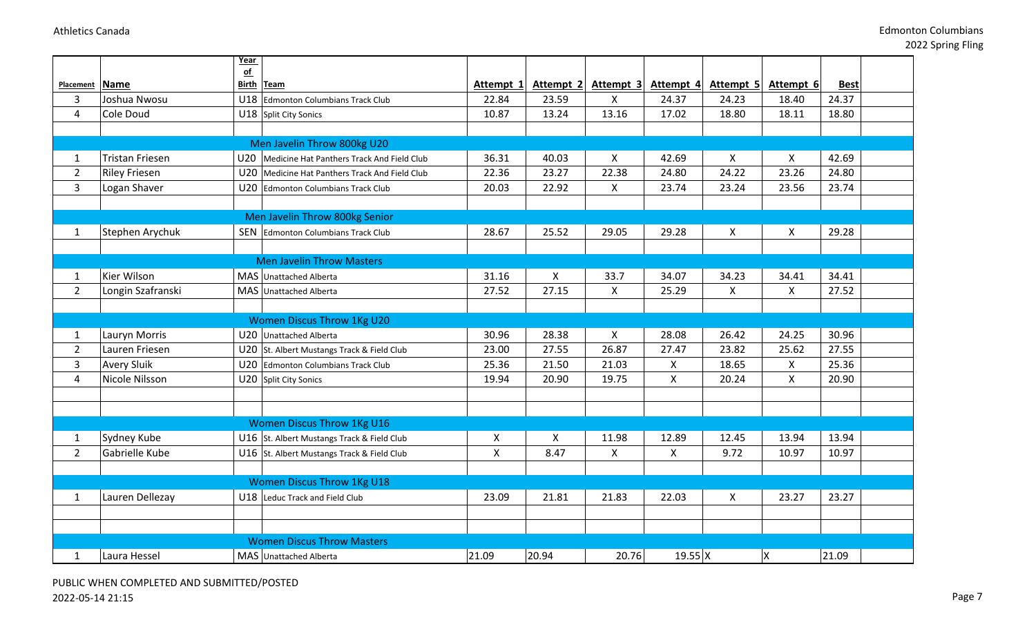2022 Spring Fling

|                |                        | Year                     |                                                |                    |                           |                           |                     |                |           |             |  |
|----------------|------------------------|--------------------------|------------------------------------------------|--------------------|---------------------------|---------------------------|---------------------|----------------|-----------|-------------|--|
|                |                        | $\overline{\textbf{of}}$ |                                                |                    |                           |                           |                     |                |           |             |  |
| Placement      | Name                   | <b>Birth Team</b>        |                                                | Attempt 1          | Attempt 2                 | Attempt 3                 | Attempt 4           | Attempt 5      | Attempt 6 | <b>Best</b> |  |
| $\overline{3}$ | Joshua Nwosu           |                          | U18 Edmonton Columbians Track Club             | 22.84              | 23.59                     | $\mathsf{X}$              | 24.37               | 24.23          | 18.40     | 24.37       |  |
| 4              | Cole Doud              |                          | U18 Split City Sonics                          | 10.87              | 13.24                     | 13.16                     | 17.02               | 18.80          | 18.11     | 18.80       |  |
|                |                        |                          |                                                |                    |                           |                           |                     |                |           |             |  |
|                |                        |                          | Men Javelin Throw 800kg U20                    |                    |                           |                           |                     |                |           |             |  |
| $\mathbf{1}$   | <b>Tristan Friesen</b> |                          | U20 Medicine Hat Panthers Track And Field Club | 36.31              | 40.03                     | X                         | 42.69               | X              | X.        | 42.69       |  |
| $\overline{2}$ | <b>Riley Friesen</b>   |                          | U20 Medicine Hat Panthers Track And Field Club | 22.36              | 23.27                     | 22.38                     | 24.80               | 24.22          | 23.26     | 24.80       |  |
| $\overline{3}$ | Logan Shaver           |                          | U20 Edmonton Columbians Track Club             | 20.03              | 22.92                     | $\boldsymbol{\mathsf{X}}$ | 23.74               | 23.24          | 23.56     | 23.74       |  |
|                |                        |                          |                                                |                    |                           |                           |                     |                |           |             |  |
|                |                        |                          | Men Javelin Throw 800kg Senior                 |                    |                           |                           |                     |                |           |             |  |
| $\mathbf{1}$   | Stephen Arychuk        |                          | <b>SEN</b> Edmonton Columbians Track Club      | 28.67              | 25.52                     | 29.05                     | 29.28               | $\mathsf{X}$   | X         | 29.28       |  |
|                |                        |                          |                                                |                    |                           |                           |                     |                |           |             |  |
|                |                        |                          | <b>Men Javelin Throw Masters</b>               |                    |                           |                           |                     |                |           |             |  |
| $\mathbf{1}$   | Kier Wilson            |                          | MAS Unattached Alberta                         | 31.16              | $\boldsymbol{\mathsf{X}}$ | 33.7                      | 34.07               | 34.23          | 34.41     | 34.41       |  |
| $\overline{2}$ | Longin Szafranski      |                          | MAS Unattached Alberta                         | 27.52              | 27.15                     | X                         | 25.29               | $\pmb{\times}$ | X         | 27.52       |  |
|                |                        |                          |                                                |                    |                           |                           |                     |                |           |             |  |
|                |                        |                          | <b>Women Discus Throw 1Kg U20</b>              |                    |                           |                           |                     |                |           |             |  |
| $\mathbf{1}$   | Lauryn Morris          |                          | U20 Unattached Alberta                         | 30.96              | 28.38                     | X                         | 28.08               | 26.42          | 24.25     | 30.96       |  |
| $\overline{2}$ | Lauren Friesen         |                          | U20 St. Albert Mustangs Track & Field Club     | 23.00              | 27.55                     | 26.87                     | 27.47               | 23.82          | 25.62     | 27.55       |  |
| $\mathbf{3}$   | <b>Avery Sluik</b>     |                          | U20 Edmonton Columbians Track Club             | 25.36              | 21.50                     | 21.03                     | $\mathsf{X}$        | 18.65          | X         | 25.36       |  |
| 4              | Nicole Nilsson         |                          | U20 Split City Sonics                          | 19.94              | 20.90                     | 19.75                     | X                   | 20.24          | X         | 20.90       |  |
|                |                        |                          |                                                |                    |                           |                           |                     |                |           |             |  |
|                |                        |                          |                                                |                    |                           |                           |                     |                |           |             |  |
|                |                        |                          | <b>Women Discus Throw 1Kg U16</b>              |                    |                           |                           |                     |                |           |             |  |
| $\mathbf{1}$   | Sydney Kube            |                          | U16 St. Albert Mustangs Track & Field Club     | $\pmb{\mathsf{X}}$ | $\boldsymbol{\mathsf{X}}$ | 11.98                     | 12.89               | 12.45          | 13.94     | 13.94       |  |
| $2^{\circ}$    | Gabrielle Kube         |                          | U16 St. Albert Mustangs Track & Field Club     | X                  | 8.47                      | $\boldsymbol{\mathsf{X}}$ | X                   | 9.72           | 10.97     | 10.97       |  |
|                |                        |                          |                                                |                    |                           |                           |                     |                |           |             |  |
|                |                        |                          | <b>Women Discus Throw 1Kg U18</b>              |                    |                           |                           |                     |                |           |             |  |
| $\mathbf{1}$   | Lauren Dellezay        |                          | U18 Leduc Track and Field Club                 | 23.09              | 21.81                     | 21.83                     | 22.03               | $\mathsf{X}$   | 23.27     | 23.27       |  |
|                |                        |                          |                                                |                    |                           |                           |                     |                |           |             |  |
|                |                        |                          |                                                |                    |                           |                           |                     |                |           |             |  |
|                |                        |                          | <b>Women Discus Throw Masters</b>              |                    |                           |                           |                     |                |           |             |  |
| $\mathbf{1}$   | Laura Hessel           |                          | MAS Unattached Alberta                         | 21.09              | 20.94                     | 20.76                     | $19.55 \, \text{X}$ |                | Χ         | 21.09       |  |